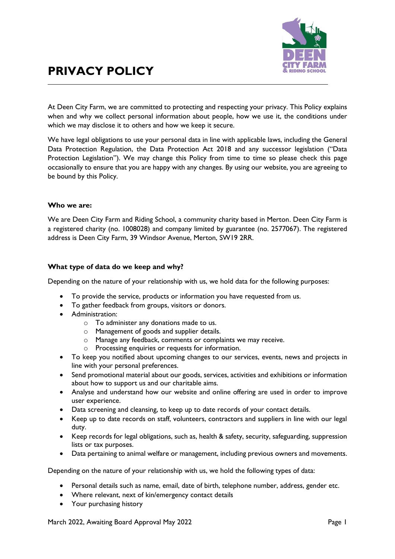

# **PRIVACY POLICY**

At Deen City Farm, we are committed to protecting and respecting your privacy. This Policy explains when and why we collect personal information about people, how we use it, the conditions under which we may disclose it to others and how we keep it secure.

We have legal obligations to use your personal data in line with applicable laws, including the General Data Protection Regulation, the Data Protection Act 2018 and any successor legislation ("Data Protection Legislation"). We may change this Policy from time to time so please check this page occasionally to ensure that you are happy with any changes. By using our website, you are agreeing to be bound by this Policy.

#### **Who we are:**

We are Deen City Farm and Riding School, a community charity based in Merton. Deen City Farm is a registered charity (no. 1008028) and company limited by guarantee (no. 2577067). The registered address is Deen City Farm, 39 Windsor Avenue, Merton, SW19 2RR.

## **What type of data do we keep and why?**

Depending on the nature of your relationship with us, we hold data for the following purposes:

- To provide the service, products or information you have requested from us.
- To gather feedback from groups, visitors or donors.
- Administration:
	- o To administer any donations made to us.
	- o Management of goods and supplier details.
	- o Manage any feedback, comments or complaints we may receive.
	- o Processing enquiries or requests for information.
- To keep you notified about upcoming changes to our services, events, news and projects in line with your personal preferences.
- Send promotional material about our goods, services, activities and exhibitions or information about how to support us and our charitable aims.
- Analyse and understand how our website and online offering are used in order to improve user experience.
- Data screening and cleansing, to keep up to date records of your contact details.
- Keep up to date records on staff, volunteers, contractors and suppliers in line with our legal duty.
- Keep records for legal obligations, such as, health & safety, security, safeguarding, suppression lists or tax purposes.
- Data pertaining to animal welfare or management, including previous owners and movements.

Depending on the nature of your relationship with us, we hold the following types of data:

- Personal details such as name, email, date of birth, telephone number, address, gender etc.
- Where relevant, next of kin/emergency contact details
- Your purchasing history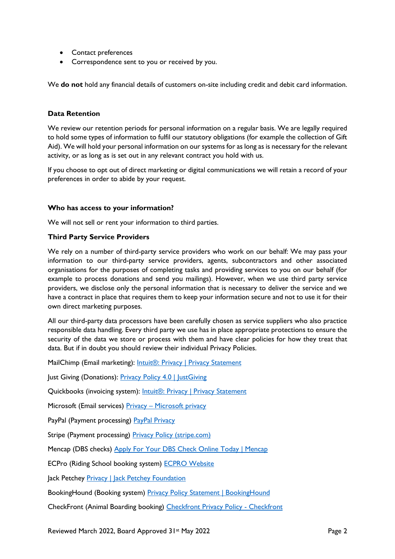- Contact preferences
- Correspondence sent to you or received by you.

We **do not** hold any financial details of customers on-site including credit and debit card information.

## **Data Retention**

We review our retention periods for personal information on a regular basis. We are legally required to hold some types of information to fulfil our statutory obligations (for example the collection of Gift Aid). We will hold your personal information on our systems for as long as is necessary for the relevant activity, or as long as is set out in any relevant contract you hold with us.

If you choose to opt out of direct marketing or digital communications we will retain a record of your preferences in order to abide by your request.

## **Who has access to your information?**

We will not sell or rent your information to third parties.

## **Third Party Service Providers**

We rely on a number of third-party service providers who work on our behalf: We may pass your information to our third-party service providers, agents, subcontractors and other associated organisations for the purposes of completing tasks and providing services to you on our behalf (for example to process donations and send you mailings). However, when we use third party service providers, we disclose only the personal information that is necessary to deliver the service and we have a contract in place that requires them to keep your information secure and not to use it for their own direct marketing purposes.

All our third-party data processors have been carefully chosen as service suppliers who also practice responsible data handling. Every third party we use has in place appropriate protections to ensure the security of the data we store or process with them and have clear policies for how they treat that data. But if in doubt you should review their individual Privacy Policies.

MailChimp (Email marketing): [Intuit®: Privacy | Privacy Statement](https://www.intuit.com/privacy/statement/)

Just Giving (Donations): [Privacy Policy 4.0 | JustGiving](https://www.justgiving.com/about/info/privacy-policy/privacy-policy-v30)

Quickbooks (invoicing system): [Intuit®: Privacy | Privacy Statement](https://www.intuit.com/privacy/statement/)

Microsoft (Email services) Privacy - [Microsoft privacy](https://privacy.microsoft.com/en-gb)

PayPal (Payment processing) [PayPal Privacy](https://www.paypal.com/myaccount/privacy/privacyhub)

Stripe (Payment processing) [Privacy Policy \(stripe.com\)](https://stripe.com/gb/privacy)

Mencap (DBS checks) [Apply For Your DBS Check Online Today | Mencap](https://www.mencap.org.uk/advice-and-support/our-services/disclosure-barring-service-dbs-checks)

ECPro (Riding School booking system) [ECPRO Website](https://ecpro.co.uk/en/contact)

Jack Petchey [Privacy | Jack Petchey Foundation](https://www.jackpetcheyfoundation.org.uk/privacy/)

BookingHound (Booking system) [Privacy Policy Statement | BookingHound](https://www.bookinghound.com/privacy-policy/)

CheckFront (Animal Boarding booking) [Checkfront Privacy Policy -](https://www.checkfront.com/privacy) Checkfront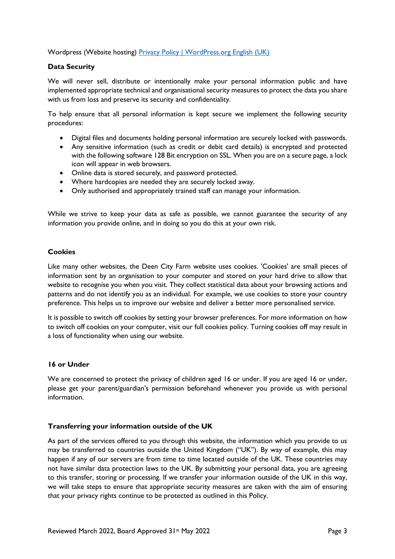## Wordpress (Website hosting) [Privacy Policy | WordPress.org English \(UK\)](https://en-gb.wordpress.org/about/privacy/)

## **Data Security**

We will never sell, distribute or intentionally make your personal information public and have implemented appropriate technical and organisational security measures to protect the data you share with us from loss and preserve its security and confidentiality.

To help ensure that all personal information is kept secure we implement the following security procedures:

- Digital files and documents holding personal information are securely locked with passwords.
- Any sensitive information (such as credit or debit card details) is encrypted and protected with the following software 128 Bit encryption on SSL. When you are on a secure page, a lock icon will appear in web browsers.
- Online data is stored securely, and password protected.
- Where hardcopies are needed they are securely locked away.
- Only authorised and appropriately trained staff can manage your information.

While we strive to keep your data as safe as possible, we cannot guarantee the security of any information you provide online, and in doing so you do this at your own risk.

## **Cookies**

Like many other websites, the Deen City Farm website uses cookies. 'Cookies' are small pieces of information sent by an organisation to your computer and stored on your hard drive to allow that website to recognise you when you visit. They collect statistical data about your browsing actions and patterns and do not identify you as an individual. For example, we use cookies to store your country preference. This helps us to improve our website and deliver a better more personalised service.

It is possible to switch off cookies by setting your browser preferences. For more information on how to switch off cookies on your computer, visit our full cookies policy. Turning cookies off may result in a loss of functionality when using our website.

#### **16 or Under**

We are concerned to protect the privacy of children aged 16 or under. If you are aged 16 or under, please get your parent/guardian's permission beforehand whenever you provide us with personal information.

#### **Transferring your information outside of the UK**

As part of the services offered to you through this website, the information which you provide to us may be transferred to countries outside the United Kingdom ("UK"). By way of example, this may happen if any of our servers are from time to time located outside of the UK. These countries may not have similar data protection laws to the UK. By submitting your personal data, you are agreeing to this transfer, storing or processing. If we transfer your information outside of the UK in this way, we will take steps to ensure that appropriate security measures are taken with the aim of ensuring that your privacy rights continue to be protected as outlined in this Policy.